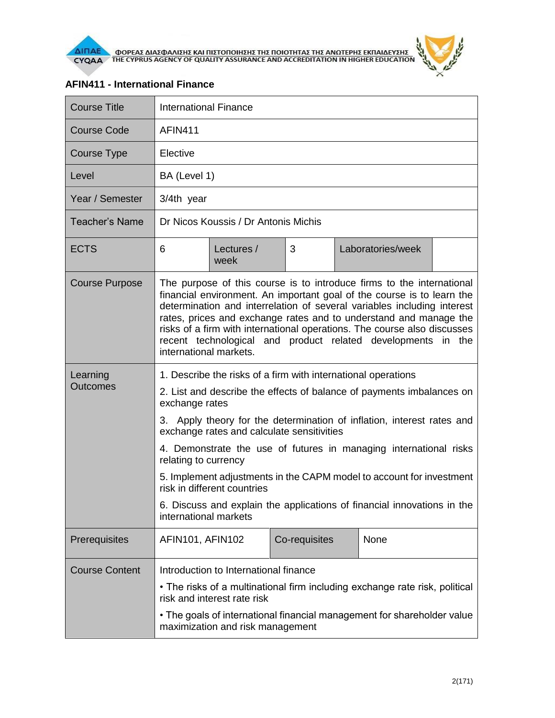



## Course Title **International Finance** Course Code | AFIN411 Course Type | Elective Level BA (Level 1) Year / Semester | 3/4th year Teacher's Name | Dr Nicos Koussis / Dr Antonis Michis ECTS 6 Lectures / week 3 Laboratories/week Course Purpose The purpose of this course is to introduce firms to the international financial environment. An important goal of the course is to learn the determination and interrelation of several variables including interest rates, prices and exchange rates and to understand and manage the risks of a firm with international operations. The course also discusses recent technological and product related developments in the international markets. **Learning Outcomes** 1. Describe the risks of a firm with international operations 2. List and describe the effects of balance of payments imbalances on exchange rates 3. Apply theory for the determination of inflation, interest rates and exchange rates and calculate sensitivities 4. Demonstrate the use of futures in managing international risks relating to currency 5. Implement adjustments in the CAPM model to account for investment risk in different countries 6. Discuss and explain the applications of financial innovations in the international markets Prerequisites | AFIN101, AFIN102 | Co-requisites | None Course Content | Introduction to International finance • The risks of a multinational firm including exchange rate risk, political risk and interest rate risk • The goals of international financial management for shareholder value maximization and risk management

## **AFIN411 - International Finance**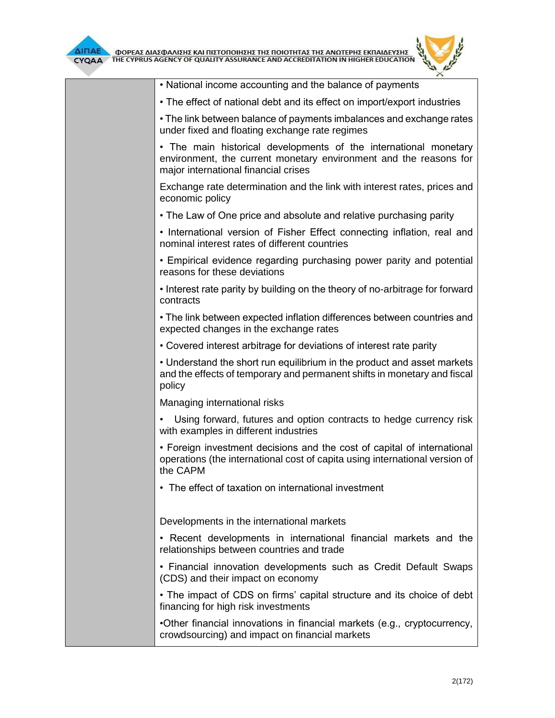

| • National income accounting and the balance of payments                                                                                                                      |
|-------------------------------------------------------------------------------------------------------------------------------------------------------------------------------|
| • The effect of national debt and its effect on import/export industries                                                                                                      |
| • The link between balance of payments imbalances and exchange rates<br>under fixed and floating exchange rate regimes                                                        |
| • The main historical developments of the international monetary<br>environment, the current monetary environment and the reasons for<br>major international financial crises |
| Exchange rate determination and the link with interest rates, prices and<br>economic policy                                                                                   |
| • The Law of One price and absolute and relative purchasing parity                                                                                                            |
| • International version of Fisher Effect connecting inflation, real and<br>nominal interest rates of different countries                                                      |
| • Empirical evidence regarding purchasing power parity and potential<br>reasons for these deviations                                                                          |
| • Interest rate parity by building on the theory of no-arbitrage for forward<br>contracts                                                                                     |
| • The link between expected inflation differences between countries and<br>expected changes in the exchange rates                                                             |
| • Covered interest arbitrage for deviations of interest rate parity                                                                                                           |
| • Understand the short run equilibrium in the product and asset markets<br>and the effects of temporary and permanent shifts in monetary and fiscal<br>policy                 |
| Managing international risks                                                                                                                                                  |
| Using forward, futures and option contracts to hedge currency risk<br>with examples in different industries                                                                   |
| • Foreign investment decisions and the cost of capital of international<br>operations (the international cost of capita using international version of<br>the CAPM            |
| • The effect of taxation on international investment                                                                                                                          |
| Developments in the international markets                                                                                                                                     |
| • Recent developments in international financial markets and the<br>relationships between countries and trade                                                                 |
| • Financial innovation developments such as Credit Default Swaps<br>(CDS) and their impact on economy                                                                         |
| • The impact of CDS on firms' capital structure and its choice of debt<br>financing for high risk investments                                                                 |
| •Other financial innovations in financial markets (e.g., cryptocurrency,<br>crowdsourcing) and impact on financial markets                                                    |